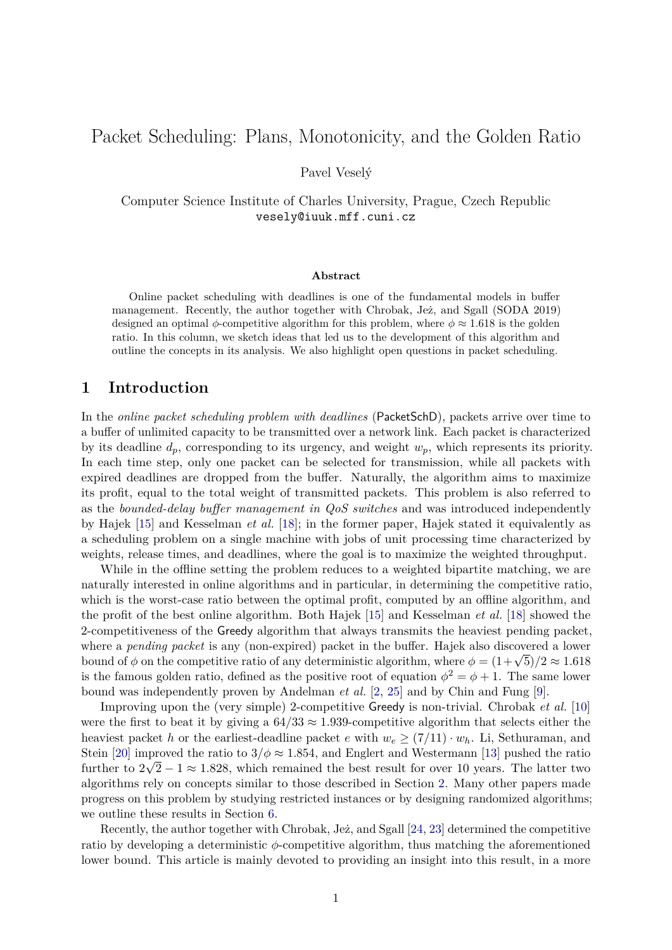# Packet Scheduling: Plans, Monotonicity, and the Golden Ratio

Pavel Veselý

Computer Science Institute of Charles University, Prague, Czech Republic vesely@iuuk.mff.cuni.cz

#### **Abstract**

Online packet scheduling with deadlines is one of the fundamental models in buffer management. Recently, the author together with Chrobak, Jeż, and Sgall (SODA 2019) designed an optimal  $\phi$ -competitive algorithm for this problem, where  $\phi \approx 1.618$  is the golden ratio. In this column, we sketch ideas that led us to the development of this algorithm and outline the concepts in its analysis. We also highlight open questions in packet scheduling.

#### **1 Introduction**

In the *online packet scheduling problem with deadlines* (PacketSchD), packets arrive over time to a buffer of unlimited capacity to be transmitted over a network link. Each packet is characterized by its deadline *dp*, corresponding to its urgency, and weight *wp*, which represents its priority. In each time step, only one packet can be selected for transmission, while all packets with expired deadlines are dropped from the buffer. Naturally, the algorithm aims to maximize its profit, equal to the total weight of transmitted packets. This problem is also referred to as the *bounded-delay buffer management in QoS switches* and was introduced independently by Hajek [\[15\]](#page-11-0) and Kesselman *et al.* [\[18\]](#page-11-1); in the former paper, Hajek stated it equivalently as a scheduling problem on a single machine with jobs of unit processing time characterized by weights, release times, and deadlines, where the goal is to maximize the weighted throughput.

While in the offline setting the problem reduces to a weighted bipartite matching, we are naturally interested in online algorithms and in particular, in determining the competitive ratio, which is the worst-case ratio between the optimal profit, computed by an offline algorithm, and the profit of the best online algorithm. Both Hajek [\[15\]](#page-11-0) and Kesselman *et al.* [\[18\]](#page-11-1) showed the 2-competitiveness of the Greedy algorithm that always transmits the heaviest pending packet, where a *pending packet* is any (non-expired) packet in the buffer. Hajek also discovered a lower where a *penaing packet* is any (non-expired) packet in the buffer. Hajek also discovered a lower<br>bound of  $\phi$  on the competitive ratio of any deterministic algorithm, where  $\phi = (1 + \sqrt{5})/2 \approx 1.618$ is the famous golden ratio, defined as the positive root of equation  $\phi^2 = \phi + 1$ . The same lower bound was independently proven by Andelman *et al.* [\[2,](#page-10-0) [25\]](#page-11-2) and by Chin and Fung [\[9\]](#page-10-1).

Improving upon the (very simple) 2-competitive Greedy is non-trivial. Chrobak *et al.* [\[10\]](#page-10-2) were the first to beat it by giving a  $64/33 \approx 1.939$ -competitive algorithm that selects either the heaviest packet *h* or the earliest-deadline packet *e* with  $w_e \geq (7/11) \cdot w_h$ . Li, Sethuraman, and Stein [\[20\]](#page-11-3) improved the ratio to  $3/\phi \approx 1.854$ , and Englert and Westermann [\[13\]](#page-10-3) pushed the ratio Stem [20] improved the ratio to  $3/\varphi \approx 1.854$ , and Englert and Westermann [13] pushed the ratio further to  $2\sqrt{2} - 1 \approx 1.828$ , which remained the best result for over 10 years. The latter two algorithms rely on concepts similar to those described in Section [2.](#page-1-0) Many other papers made progress on this problem by studying restricted instances or by designing randomized algorithms; we outline these results in Section [6.](#page-8-0)

Recently, the author together with Chrobak, Jez, and Sgall  $[24, 23]$  $[24, 23]$  $[24, 23]$  determined the competitive ratio by developing a deterministic *φ*-competitive algorithm, thus matching the aforementioned lower bound. This article is mainly devoted to providing an insight into this result, in a more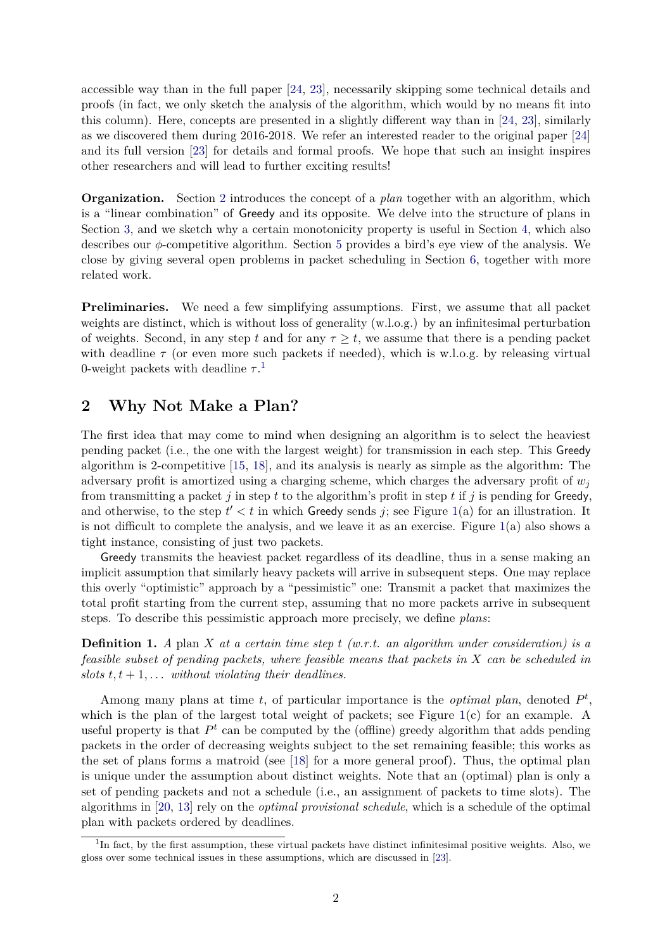accessible way than in the full paper [\[24,](#page-11-4) [23\]](#page-11-5), necessarily skipping some technical details and proofs (in fact, we only sketch the analysis of the algorithm, which would by no means fit into this column). Here, concepts are presented in a slightly different way than in [\[24,](#page-11-4) [23\]](#page-11-5), similarly as we discovered them during 2016-2018. We refer an interested reader to the original paper [\[24\]](#page-11-4) and its full version [\[23\]](#page-11-5) for details and formal proofs. We hope that such an insight inspires other researchers and will lead to further exciting results!

**Organization.** Section [2](#page-1-0) introduces the concept of a *plan* together with an algorithm, which is a "linear combination" of Greedy and its opposite. We delve into the structure of plans in Section [3,](#page-2-0) and we sketch why a certain monotonicity property is useful in Section [4,](#page-3-0) which also describes our *φ*-competitive algorithm. Section [5](#page-6-0) provides a bird's eye view of the analysis. We close by giving several open problems in packet scheduling in Section [6,](#page-8-0) together with more related work.

**Preliminaries.** We need a few simplifying assumptions. First, we assume that all packet weights are distinct, which is without loss of generality (w.l.o.g.) by an infinitesimal perturbation of weights. Second, in any step t and for any  $\tau \geq t$ , we assume that there is a pending packet with deadline  $\tau$  (or even more such packets if needed), which is w.l.o.g. by releasing virtual 0-weight packets with deadline  $\tau$ <sup>[1](#page-1-1)</sup>

# <span id="page-1-0"></span>**2 Why Not Make a Plan?**

The first idea that may come to mind when designing an algorithm is to select the heaviest pending packet (i.e., the one with the largest weight) for transmission in each step. This Greedy algorithm is 2-competitive [\[15,](#page-11-0) [18\]](#page-11-1), and its analysis is nearly as simple as the algorithm: The adversary profit is amortized using a charging scheme, which charges the adversary profit of  $w_i$ from transmitting a packet *j* in step *t* to the algorithm's profit in step *t* if *j* is pending for Greedy, and otherwise, to the step  $t' < t$  in which Greedy sends *j*; see Figure [1\(](#page-2-1)a) for an illustration. It is not difficult to complete the analysis, and we leave it as an exercise. Figure [1\(](#page-2-1)a) also shows a tight instance, consisting of just two packets.

Greedy transmits the heaviest packet regardless of its deadline, thus in a sense making an implicit assumption that similarly heavy packets will arrive in subsequent steps. One may replace this overly "optimistic" approach by a "pessimistic" one: Transmit a packet that maximizes the total profit starting from the current step, assuming that no more packets arrive in subsequent steps. To describe this pessimistic approach more precisely, we define *plans*:

**Definition 1.** *A* plan *X at a certain time step t (w.r.t. an algorithm under consideration) is a feasible subset of pending packets, where feasible means that packets in X can be scheduled in slots*  $t, t + 1, \ldots$  *without violating their deadlines.* 

Among many plans at time *t*, of particular importance is the *optimal plan*, denoted *P t* , which is the plan of the largest total weight of packets; see Figure  $1(c)$  $1(c)$  for an example. A useful property is that  $P<sup>t</sup>$  can be computed by the (offline) greedy algorithm that adds pending packets in the order of decreasing weights subject to the set remaining feasible; this works as the set of plans forms a matroid (see [\[18\]](#page-11-1) for a more general proof). Thus, the optimal plan is unique under the assumption about distinct weights. Note that an (optimal) plan is only a set of pending packets and not a schedule (i.e., an assignment of packets to time slots). The algorithms in [\[20,](#page-11-3) [13\]](#page-10-3) rely on the *optimal provisional schedule*, which is a schedule of the optimal plan with packets ordered by deadlines.

<span id="page-1-1"></span><sup>&</sup>lt;sup>1</sup>In fact, by the first assumption, these virtual packets have distinct infinitesimal positive weights. Also, we gloss over some technical issues in these assumptions, which are discussed in [\[23\]](#page-11-5).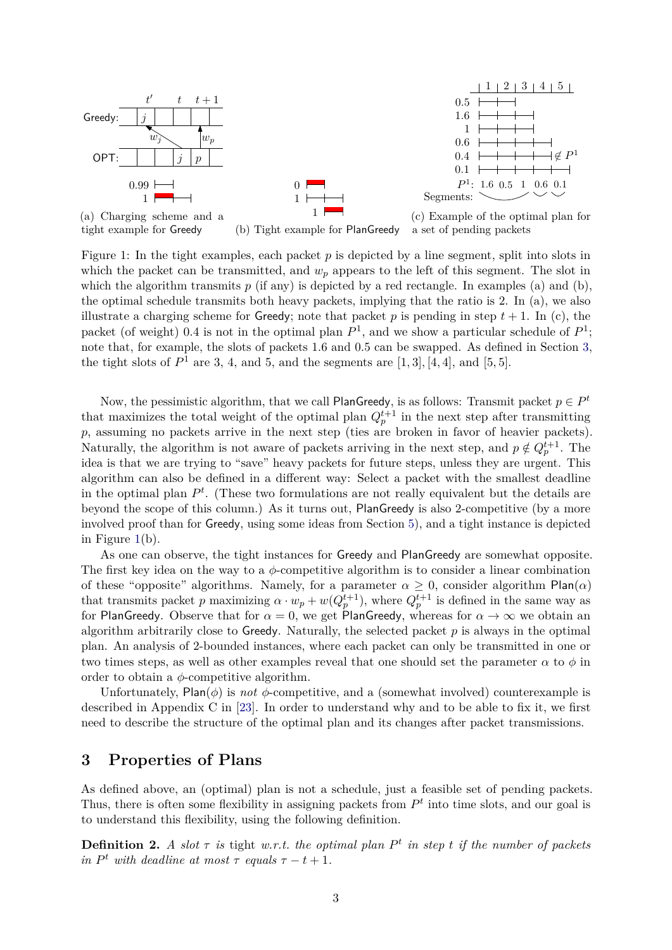<span id="page-2-1"></span>

Figure 1: In the tight examples, each packet *p* is depicted by a line segment, split into slots in which the packet can be transmitted, and  $w_p$  appears to the left of this segment. The slot in which the algorithm transmits  $p$  (if any) is depicted by a red rectangle. In examples (a) and (b), the optimal schedule transmits both heavy packets, implying that the ratio is 2. In (a), we also illustrate a charging scheme for **Greedy**; note that packet *p* is pending in step  $t + 1$ . In (c), the packet (of weight) 0.4 is not in the optimal plan  $P^1$ , and we show a particular schedule of  $P^1$ ; note that, for example, the slots of packets 1*.*6 and 0*.*5 can be swapped. As defined in Section [3,](#page-2-0)

the tight slots of  $P^1$  are 3, 4, and 5, and the segments are  $[1, 3]$ ,  $[4, 4]$ , and  $[5, 5]$ .

Now, the pessimistic algorithm, that we call PlanGreedy, is as follows: Transmit packet  $p \in P^t$ that maximizes the total weight of the optimal plan  $Q_p^{t+1}$  in the next step after transmitting *p*, assuming no packets arrive in the next step (ties are broken in favor of heavier packets). Naturally, the algorithm is not aware of packets arriving in the next step, and  $p \notin Q_p^{t+1}$ . The idea is that we are trying to "save" heavy packets for future steps, unless they are urgent. This algorithm can also be defined in a different way: Select a packet with the smallest deadline in the optimal plan  $P<sup>t</sup>$ . (These two formulations are not really equivalent but the details are beyond the scope of this column.) As it turns out, PlanGreedy is also 2-competitive (by a more involved proof than for Greedy, using some ideas from Section [5\)](#page-6-0), and a tight instance is depicted in Figure [1\(](#page-2-1)b).

As one can observe, the tight instances for Greedy and PlanGreedy are somewhat opposite. The first key idea on the way to a  $\phi$ -competitive algorithm is to consider a linear combination of these "opposite" algorithms. Namely, for a parameter  $\alpha \geq 0$ , consider algorithm Plan( $\alpha$ ) that transmits packet *p* maximizing  $\alpha \cdot w_p + w(Q_p^{t+1})$ , where  $Q_p^{t+1}$  is defined in the same way as for PlanGreedy. Observe that for  $\alpha = 0$ , we get PlanGreedy, whereas for  $\alpha \to \infty$  we obtain an algorithm arbitrarily close to Greedy. Naturally, the selected packet *p* is always in the optimal plan. An analysis of 2-bounded instances, where each packet can only be transmitted in one or two times steps, as well as other examples reveal that one should set the parameter  $\alpha$  to  $\phi$  in order to obtain a *φ*-competitive algorithm.

Unfortunately,  $Plan(\phi)$  is *not*  $\phi$ -competitive, and a (somewhat involved) counterexample is described in Appendix C in [\[23\]](#page-11-5). In order to understand why and to be able to fix it, we first need to describe the structure of the optimal plan and its changes after packet transmissions.

# <span id="page-2-0"></span>**3 Properties of Plans**

As defined above, an (optimal) plan is not a schedule, just a feasible set of pending packets. Thus, there is often some flexibility in assigning packets from  $P<sup>t</sup>$  into time slots, and our goal is to understand this flexibility, using the following definition.

**Definition 2.** *A slot*  $\tau$  *is* tight *w.r.t.* the optimal plan  $P^t$  *in step*  $t$  *if the number of packets in*  $P^t$  *with deadline at most*  $\tau$  *equals*  $\tau - t + 1$ *.*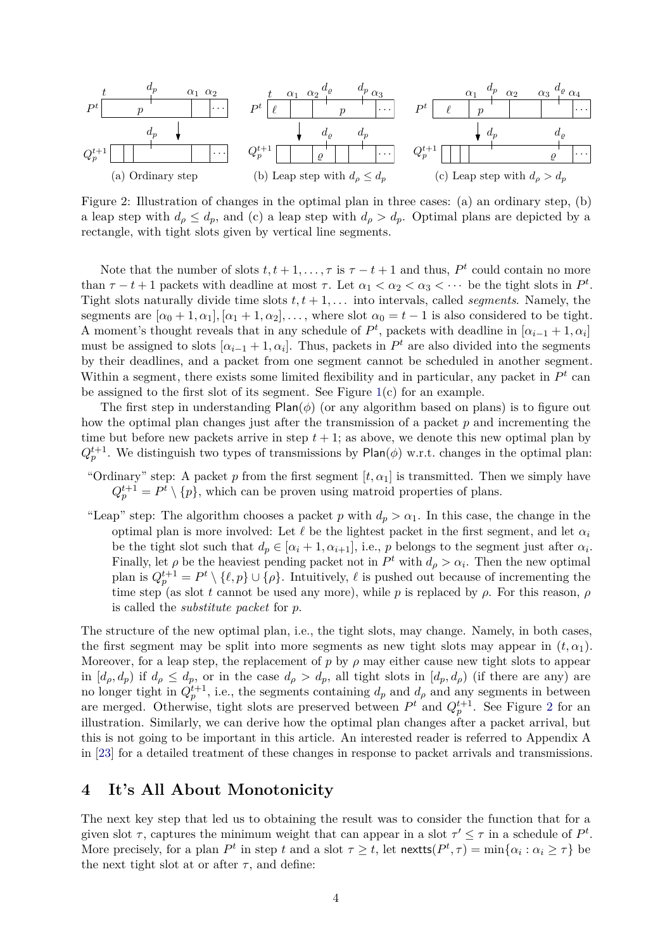<span id="page-3-1"></span>

Figure 2: Illustration of changes in the optimal plan in three cases: (a) an ordinary step, (b) a leap step with  $d_{\rho} \leq d_p$ , and (c) a leap step with  $d_{\rho} > d_p$ . Optimal plans are depicted by a rectangle, with tight slots given by vertical line segments.

Note that the number of slots  $t, t + 1, \ldots, \tau$  is  $\tau - t + 1$  and thus,  $P^t$  could contain no more than  $\tau - t + 1$  packets with deadline at most  $\tau$ . Let  $\alpha_1 < \alpha_2 < \alpha_3 < \cdots$  be the tight slots in  $P^t$ . Tight slots naturally divide time slots  $t, t + 1, \ldots$  into intervals, called *segments*. Namely, the segments are  $[\alpha_0 + 1, \alpha_1], [\alpha_1 + 1, \alpha_2], \ldots$ , where slot  $\alpha_0 = t - 1$  is also considered to be tight. A moment's thought reveals that in any schedule of  $P^t$ , packets with deadline in  $[\alpha_{i-1} + 1, \alpha_i]$ must be assigned to slots  $[\alpha_{i-1} + 1, \alpha_i]$ . Thus, packets in  $P^t$  are also divided into the segments by their deadlines, and a packet from one segment cannot be scheduled in another segment. Within a segment, there exists some limited flexibility and in particular, any packet in  $P<sup>t</sup>$  can be assigned to the first slot of its segment. See Figure  $1(c)$  $1(c)$  for an example.

The first step in understanding  $Plan(\phi)$  (or any algorithm based on plans) is to figure out how the optimal plan changes just after the transmission of a packet *p* and incrementing the time but before new packets arrive in step  $t + 1$ ; as above, we denote this new optimal plan by  $Q_p^{t+1}$ . We distinguish two types of transmissions by Plan( $\phi$ ) w.r.t. changes in the optimal plan:

- "Ordinary" step: A packet *p* from the first segment  $[t, \alpha_1]$  is transmitted. Then we simply have  $Q_p^{t+1} = P^t \setminus \{p\}$ , which can be proven using matroid properties of plans.
- "Leap" step: The algorithm chooses a packet *p* with  $d_p > \alpha_1$ . In this case, the change in the optimal plan is more involved: Let  $\ell$  be the lightest packet in the first segment, and let  $\alpha_i$ be the tight slot such that  $d_p \in [\alpha_i + 1, \alpha_{i+1}],$  i.e., *p* belongs to the segment just after  $\alpha_i$ . Finally, let  $\rho$  be the heaviest pending packet not in  $P^t$  with  $d_{\rho} > \alpha_i$ . Then the new optimal plan is  $Q_p^{t+1} = P^t \setminus \{\ell, p\} \cup \{\rho\}$ . Intuitively,  $\ell$  is pushed out because of incrementing the time step (as slot *t* cannot be used any more), while *p* is replaced by  $\rho$ . For this reason,  $\rho$ is called the *substitute packet* for *p*.

The structure of the new optimal plan, i.e., the tight slots, may change. Namely, in both cases, the first segment may be split into more segments as new tight slots may appear in  $(t, \alpha_1)$ . Moreover, for a leap step, the replacement of  $p$  by  $\rho$  may either cause new tight slots to appear in  $[d_p, d_p)$  if  $d_p \leq d_p$ , or in the case  $d_p > d_p$ , all tight slots in  $[d_p, d_p)$  (if there are any) are no longer tight in  $Q_p^{t+1}$ , i.e., the segments containing  $d_p$  and  $d_\rho$  and any segments in between are merged. Otherwise, tight slots are preserved between  $P<sup>t</sup>$  and  $Q<sup>t+1</sup><sub>p</sub>$ . See Figure [2](#page-3-1) for an illustration. Similarly, we can derive how the optimal plan changes after a packet arrival, but this is not going to be important in this article. An interested reader is referred to Appendix A in [\[23\]](#page-11-5) for a detailed treatment of these changes in response to packet arrivals and transmissions.

#### <span id="page-3-0"></span>**4 It's All About Monotonicity**

The next key step that led us to obtaining the result was to consider the function that for a given slot  $\tau$ , captures the minimum weight that can appear in a slot  $\tau' \leq \tau$  in a schedule of  $P^t$ . More precisely, for a plan  $P^t$  in step  $t$  and a slot  $\tau \geq t$ , let  $\text{nextts}(P^t, \tau) = \min\{\alpha_i : \alpha_i \geq \tau\}$  be the next tight slot at or after  $\tau$ , and define: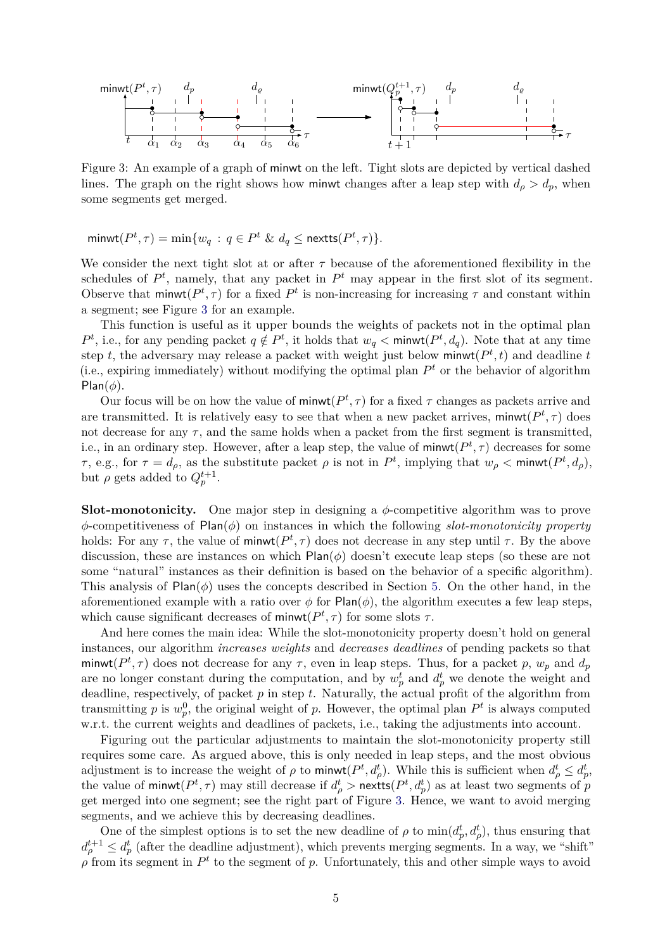<span id="page-4-0"></span>

Figure 3: An example of a graph of minwt on the left. Tight slots are depicted by vertical dashed lines. The graph on the right shows how minwt changes after a leap step with  $d_{\rho} > d_p$ , when some segments get merged.

 $\min \{ w_q : q \in P^t \& d_q \leq \text{nextts}(P^t, \tau) \}.$ 

We consider the next tight slot at or after  $\tau$  because of the aforementioned flexibility in the schedules of  $P^t$ , namely, that any packet in  $P^t$  may appear in the first slot of its segment. Observe that  $\text{minwt}(P^t, \tau)$  for a fixed  $P^t$  is non-increasing for increasing  $\tau$  and constant within a segment; see Figure [3](#page-4-0) for an example.

This function is useful as it upper bounds the weights of packets not in the optimal plan  $P^t$ , i.e., for any pending packet  $q \notin P^t$ , it holds that  $w_q < \text{minwt}(P^t, d_q)$ . Note that at any time step *t*, the adversary may release a packet with weight just below  $\text{minwt}(P^t, t)$  and deadline *t* (i.e., expiring immediately) without modifying the optimal plan  $P<sup>t</sup>$  or the behavior of algorithm Plan( $\phi$ ).

Our focus will be on how the value of  $\text{minwt}(P^t, \tau)$  for a fixed  $\tau$  changes as packets arrive and are transmitted. It is relatively easy to see that when a new packet arrives,  $\text{minwt}(P^t, \tau)$  does not decrease for any  $\tau$ , and the same holds when a packet from the first segment is transmitted, i.e., in an ordinary step. However, after a leap step, the value of  $\text{minwt}(P^t, \tau)$  decreases for some *τ*, e.g., for  $\tau = d_{\rho}$ , as the substitute packet  $\rho$  is not in  $P^t$ , implying that  $w_{\rho} < \text{minwt}(P^t, d_{\rho})$ , but  $\rho$  gets added to  $Q_p^{t+1}$ .

**Slot-monotonicity.** One major step in designing a  $\phi$ -competitive algorithm was to prove *φ*-competitiveness of Plan(*φ*) on instances in which the following *slot-monotonicity property* holds: For any  $\tau$ , the value of minwt( $P^t$ ,  $\tau$ ) does not decrease in any step until  $\tau$ . By the above discussion, these are instances on which Plan(*φ*) doesn't execute leap steps (so these are not some "natural" instances as their definition is based on the behavior of a specific algorithm). This analysis of  $Plan(\phi)$  uses the concepts described in Section [5.](#page-6-0) On the other hand, in the aforementioned example with a ratio over  $\phi$  for Plan( $\phi$ ), the algorithm executes a few leap steps, which cause significant decreases of  $\text{minwt}(P^t, \tau)$  for some slots  $\tau$ .

And here comes the main idea: While the slot-monotonicity property doesn't hold on general instances, our algorithm *increases weights* and *decreases deadlines* of pending packets so that minwt( $P^t$ ,  $\tau$ ) does not decrease for any  $\tau$ , even in leap steps. Thus, for a packet p,  $w_p$  and  $d_p$ are no longer constant during the computation, and by  $w_p^t$  and  $d_p^t$  we denote the weight and deadline, respectively, of packet *p* in step *t*. Naturally, the actual profit of the algorithm from transmitting p is  $w_p^0$ , the original weight of p. However, the optimal plan  $P^t$  is always computed w.r.t. the current weights and deadlines of packets, i.e., taking the adjustments into account.

Figuring out the particular adjustments to maintain the slot-monotonicity property still requires some care. As argued above, this is only needed in leap steps, and the most obvious adjustment is to increase the weight of  $\rho$  to minwt $(P^t, d^t_\rho)$ . While this is sufficient when  $d^t_\rho \leq d^t_p$ , the value of minwt $(P^t, \tau)$  may still decrease if  $d^t_\rho > \text{nextts}(P^t, d^t_p)$  as at least two segments of *p* get merged into one segment; see the right part of Figure [3.](#page-4-0) Hence, we want to avoid merging segments, and we achieve this by decreasing deadlines.

One of the simplest options is to set the new deadline of  $\rho$  to  $\min(d_p^t, d_\rho^t)$ , thus ensuring that  $d_{\rho}^{t+1} \leq d_p^t$  (after the deadline adjustment), which prevents merging segments. In a way, we "shift"  $\rho$  from its segment in  $P^t$  to the segment of *p*. Unfortunately, this and other simple ways to avoid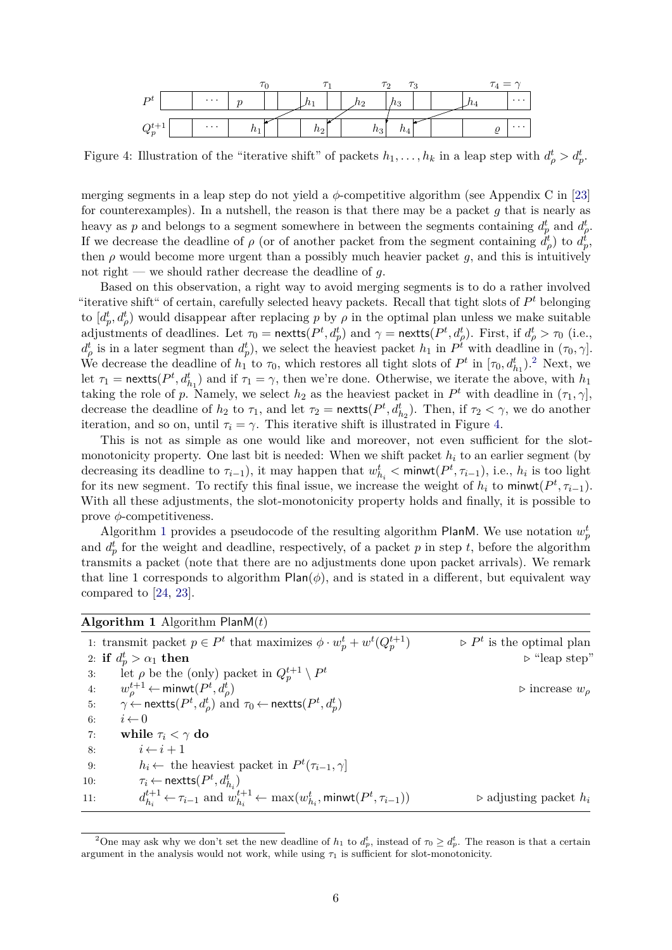<span id="page-5-1"></span>

Figure 4: Illustration of the "iterative shift" of packets  $h_1, \ldots, h_k$  in a leap step with  $d^t_\rho > d^t_p$ .

merging segments in a leap step do not yield a  $\phi$ -competitive algorithm (see Appendix C in [\[23\]](#page-11-5) for counterexamples). In a nutshell, the reason is that there may be a packet *g* that is nearly as heavy as *p* and belongs to a segment somewhere in between the segments containing  $d_p^t$  and  $d_p^t$ . If we decrease the deadline of  $\rho$  (or of another packet from the segment containing  $\dot{d}^t_\rho$ ) to  $d^t_p$ , then  $\rho$  would become more urgent than a possibly much heavier packet  $g$ , and this is intuitively not right — we should rather decrease the deadline of *g*.

Based on this observation, a right way to avoid merging segments is to do a rather involved "iterative shift" of certain, carefully selected heavy packets. Recall that tight slots of *P <sup>t</sup>* belonging to  $[d_p^t, d_p^t]$  would disappear after replacing *p* by *ρ* in the optimal plan unless we make suitable adjustments of deadlines. Let  $\tau_0 = \text{nextts}(P^t, d_p^t)$  and  $\gamma = \text{nextts}(P^t, d_\rho^t)$ . First, if  $d_\rho^t > \tau_0$  (i.e.,  $d_{\rho}^t$  is in a later segment than  $d_p^t$ ), we select the heaviest packet  $h_1$  in  $P^t$  with deadline in  $(\tau_0, \gamma]$ . We decrease the deadline of  $h_1$  to  $\tau_0$ , which restores all tight slots of  $P^t$  in  $[\tau_0, d_{h_1}^t)$ .<sup>[2](#page-5-0)</sup> Next, we let  $\tau_1$  = nexts( $P^t, d^t_{h_1}$ ) and if  $\tau_1 = \gamma$ , then we're done. Otherwise, we iterate the above, with  $h_1$ taking the role of *p*. Namely, we select  $h_2$  as the heaviest packet in  $P^t$  with deadline in  $(\tau_1, \gamma]$ , decrease the deadline of  $h_2$  to  $\tau_1$ , and let  $\tau_2$  = nextts( $P^t$ , $d_{h_2}^t$ ). Then, if  $\tau_2 < \gamma$ , we do another iteration, and so on, until  $\tau_i = \gamma$ . This iterative shift is illustrated in Figure [4.](#page-5-1)

This is not as simple as one would like and moreover, not even sufficient for the slotmonotonicity property. One last bit is needed: When we shift packet  $h_i$  to an earlier segment (by decreasing its deadline to  $\tau_{i-1}$ ), it may happen that  $w_{h_i}^t < \text{minwt}(P^t, \tau_{i-1})$ , i.e.,  $h_i$  is too light for its new segment. To rectify this final issue, we increase the weight of  $h_i$  to minwt $(P^t, \tau_{i-1})$ . With all these adjustments, the slot-monotonicity property holds and finally, it is possible to prove *φ*-competitiveness.

Algorithm [1](#page-5-2) provides a pseudocode of the resulting algorithm PlanM. We use notation  $w_p^t$ and  $d_p^t$  for the weight and deadline, respectively, of a packet p in step t, before the algorithm transmits a packet (note that there are no adjustments done upon packet arrivals). We remark that line 1 corresponds to algorithm  $Plan(\phi)$ , and is stated in a different, but equivalent way compared to [\[24,](#page-11-4) [23\]](#page-11-5).

<span id="page-5-2"></span>

|     | <b>Algorithm 1</b> Algorithm $\text{PlanM}(t)$                                                                      |                                          |
|-----|---------------------------------------------------------------------------------------------------------------------|------------------------------------------|
|     | 1: transmit packet $p \in P^t$ that maximizes $\phi \cdot w_n^t + w^t(Q_n^{t+1})$                                   | $\triangleright P^t$ is the optimal plan |
|     | 2: if $d_p^t > \alpha_1$ then                                                                                       | $\triangleright$ "leap step"             |
| 3:  | let $\rho$ be the (only) packet in $Q_n^{t+1} \setminus P^t$                                                        |                                          |
| 4:  | $w^{t+1}_{o} \leftarrow$ minwt $(P^{t}, d^{t}_{o})$                                                                 | $\triangleright$ increase $w_{\rho}$     |
| 5:  | $\gamma \leftarrow$ nextts $(P^t, d^t_\rho)$ and $\tau_0 \leftarrow$ nextts $(P^t, d^t_\rho)$                       |                                          |
| 6:  | $i \leftarrow 0$                                                                                                    |                                          |
| 7:  | while $\tau_i < \gamma$ do                                                                                          |                                          |
| 8:  | $i \leftarrow i + 1$                                                                                                |                                          |
| 9:  | $h_i \leftarrow$ the heaviest packet in $P^t(\tau_{i-1}, \gamma)$                                                   |                                          |
| 10: | $\tau_i \leftarrow$ nextts $(P^t, d^t_{h_i})$                                                                       |                                          |
| 11: | $d_{h_i}^{t+1} \leftarrow \tau_{i-1}$ and $w_{h_i}^{t+1} \leftarrow \max(w_{h_i}^t, \text{minwt}(P^t, \tau_{i-1}))$ | $\triangleright$ adjusting packet $h_i$  |

<span id="page-5-0"></span><sup>&</sup>lt;sup>2</sup>One may ask why we don't set the new deadline of  $h_1$  to  $d_p^t$ , instead of  $\tau_0 \geq d_p^t$ . The reason is that a certain argument in the analysis would not work, while using  $\tau_1$  is sufficient for slot-monotonicity.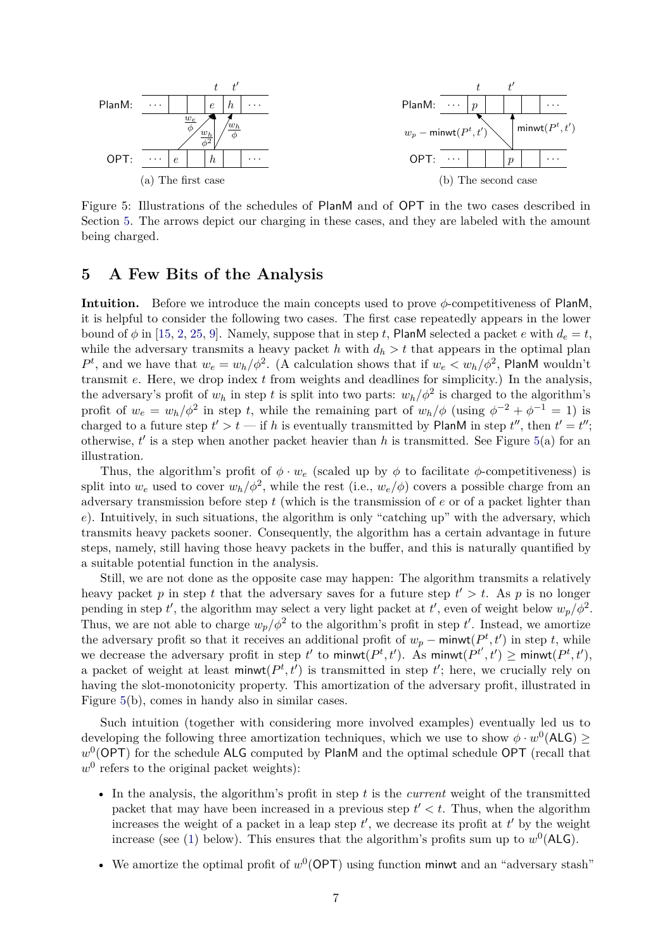<span id="page-6-1"></span>

Figure 5: Illustrations of the schedules of PlanM and of OPT in the two cases described in Section [5.](#page-6-0) The arrows depict our charging in these cases, and they are labeled with the amount being charged.

#### <span id="page-6-0"></span>**5 A Few Bits of the Analysis**

**Intuition.** Before we introduce the main concepts used to prove *φ*-competitiveness of PlanM, it is helpful to consider the following two cases. The first case repeatedly appears in the lower bound of  $\phi$  in [\[15,](#page-11-0) [2,](#page-10-0) [25,](#page-11-2) [9\]](#page-10-1). Namely, suppose that in step *t*, PlanM selected a packet *e* with  $d_e = t$ , while the adversary transmits a heavy packet *h* with  $d_h > t$  that appears in the optimal plan  $P^t$ , and we have that  $w_e = w_h / \phi^2$ . (A calculation shows that if  $w_e < w_h / \phi^2$ , PlanM wouldn't transmit *e*. Here, we drop index *t* from weights and deadlines for simplicity.) In the analysis, the adversary's profit of  $w_h$  in step *t* is split into two parts:  $w_h/\phi^2$  is charged to the algorithm's profit of  $w_e = w_h / \phi^2$  in step *t*, while the remaining part of  $w_h / \phi$  (using  $\phi^{-2} + \phi^{-1} = 1$ ) is charged to a future step  $t' > t$  — if h is eventually transmitted by PlanM in step  $t''$ , then  $t' = t''$ ; otherwise,  $t'$  is a step when another packet heavier than h is transmitted. See Figure  $5(a)$  $5(a)$  for an illustration.

Thus, the algorithm's profit of  $\phi \cdot w_e$  (scaled up by  $\phi$  to facilitate  $\phi$ -competitiveness) is split into  $w_e$  used to cover  $w_h/\phi^2$ , while the rest (i.e.,  $w_e/\phi$ ) covers a possible charge from an adversary transmission before step *t* (which is the transmission of *e* or of a packet lighter than *e*). Intuitively, in such situations, the algorithm is only "catching up" with the adversary, which transmits heavy packets sooner. Consequently, the algorithm has a certain advantage in future steps, namely, still having those heavy packets in the buffer, and this is naturally quantified by a suitable potential function in the analysis.

Still, we are not done as the opposite case may happen: The algorithm transmits a relatively heavy packet p in step t that the adversary saves for a future step  $t' > t$ . As p is no longer pending in step *t'*, the algorithm may select a very light packet at *t'*, even of weight below  $w_p/\phi^2$ . Thus, we are not able to charge  $w_p/\phi^2$  to the algorithm's profit in step *t'*. Instead, we amortize the adversary profit so that it receives an additional profit of  $w_p$  – minwt( $P^t, t'$ ) in step *t*, while we decrease the adversary profit in step  $t'$  to minwt $(P^t, t')$ . As minwt $(P^{t'}, t') \geq \text{minwt}(P^{t}, t')$ , a packet of weight at least minwt $(P^t, t')$  is transmitted in step  $t'$ ; here, we crucially rely on having the slot-monotonicity property. This amortization of the adversary profit, illustrated in Figure [5\(](#page-6-1)b), comes in handy also in similar cases.

Such intuition (together with considering more involved examples) eventually led us to developing the following three amortization techniques, which we use to show  $\phi \cdot w^0(\text{ALG}) \geq$ w<sup>0</sup>(OPT) for the schedule ALG computed by PlanM and the optimal schedule OPT (recall that  $w^0$  refers to the original packet weights):

- In the analysis, the algorithm's profit in step *t* is the *current* weight of the transmitted packet that may have been increased in a previous step  $t' < t$ . Thus, when the algorithm increases the weight of a packet in a leap step  $t'$ , we decrease its profit at  $t'$  by the weight increase (see [\(1\)](#page-7-0) below). This ensures that the algorithm's profits sum up to  $w^0$  (ALG).
- We amortize the optimal profit of  $w^0$ (OPT) using function minwt and an "adversary stash"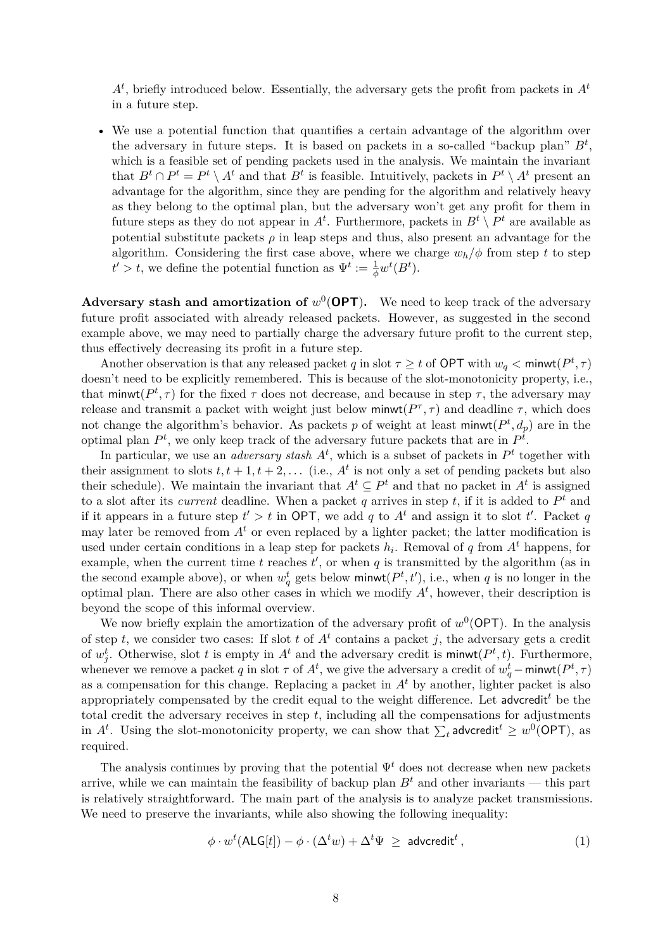$A<sup>t</sup>$ , briefly introduced below. Essentially, the adversary gets the profit from packets in  $A<sup>t</sup>$ in a future step.

• We use a potential function that quantifies a certain advantage of the algorithm over the adversary in future steps. It is based on packets in a so-called "backup plan" *B<sup>t</sup>* , which is a feasible set of pending packets used in the analysis. We maintain the invariant that  $B^t \cap P^t = P^t \setminus A^t$  and that  $B^t$  is feasible. Intuitively, packets in  $P^t \setminus A^t$  present an advantage for the algorithm, since they are pending for the algorithm and relatively heavy as they belong to the optimal plan, but the adversary won't get any profit for them in future steps as they do not appear in  $A^t$ . Furthermore, packets in  $B^t \setminus P^t$  are available as potential substitute packets  $\rho$  in leap steps and thus, also present an advantage for the algorithm. Considering the first case above, where we charge  $w_h/\phi$  from step t to step  $t' > t$ , we define the potential function as  $\Psi^t := \frac{1}{\phi} w^t(B^t)$ .

**Adversary stash and amortization of**  $w^0$  **(OPT). We need to keep track of the adversary** future profit associated with already released packets. However, as suggested in the second example above, we may need to partially charge the adversary future profit to the current step, thus effectively decreasing its profit in a future step.

Another observation is that any released packet *q* in slot  $\tau \geq t$  of OPT with  $w_q < \text{minwt}(P^t, \tau)$ doesn't need to be explicitly remembered. This is because of the slot-monotonicity property, i.e., that minwt( $P^t$ ,  $\tau$ ) for the fixed  $\tau$  does not decrease, and because in step  $\tau$ , the adversary may release and transmit a packet with weight just below  $\text{minwt}(P^{\tau}, \tau)$  and deadline  $\tau$ , which does not change the algorithm's behavior. As packets p of weight at least minwt $(P^t, d_p)$  are in the optimal plan  $P^t$ , we only keep track of the adversary future packets that are in  $P^t$ .

In particular, we use an *adversary stash*  $A<sup>t</sup>$ , which is a subset of packets in  $P<sup>t</sup>$  together with their assignment to slots  $t, t + 1, t + 2, \ldots$  (i.e.,  $A<sup>t</sup>$  is not only a set of pending packets but also their schedule). We maintain the invariant that  $A^t \subseteq P^t$  and that no packet in  $A^t$  is assigned to a slot after its *current* deadline. When a packet *q* arrives in step *t*, if it is added to *P <sup>t</sup>* and if it appears in a future step  $t' > t$  in OPT, we add q to  $A<sup>t</sup>$  and assign it to slot  $t'$ . Packet q may later be removed from  $A<sup>t</sup>$  or even replaced by a lighter packet; the latter modification is used under certain conditions in a leap step for packets  $h_i$ . Removal of  $q$  from  $A<sup>t</sup>$  happens, for example, when the current time  $t$  reaches  $t'$ , or when  $q$  is transmitted by the algorithm (as in the second example above), or when  $w_q^t$  gets below minwt $(P^t, t')$ , i.e., when *q* is no longer in the optimal plan. There are also other cases in which we modify  $A<sup>t</sup>$ , however, their description is beyond the scope of this informal overview.

We now briefly explain the amortization of the adversary profit of  $w^0$  (OPT). In the analysis of step *t*, we consider two cases: If slot *t* of  $A<sup>t</sup>$  contains a packet *j*, the adversary gets a credit of  $w_j^t$ . Otherwise, slot *t* is empty in  $A^t$  and the adversary credit is minwt $(P^t, t)$ . Furthermore, whenever we remove a packet *q* in slot  $\tau$  of  $A^t$ , we give the adversary a credit of  $w_q^t$  – minwt $(P^t, \tau)$ as a compensation for this change. Replacing a packet in  $A<sup>t</sup>$  by another, lighter packet is also appropriately compensated by the credit equal to the weight difference. Let advcredit*<sup>t</sup>* be the total credit the adversary receives in step *t*, including all the compensations for adjustments in  $A^t$ . Using the slot-monotonicity property, we can show that  $\sum_t$  advcredit<sup> $t$ </sup>  $\geq w^0(\mathsf{OPT})$ , as required.

The analysis continues by proving that the potential  $\Psi^t$  does not decrease when new packets arrive, while we can maintain the feasibility of backup plan  $B<sup>t</sup>$  and other invariants — this part is relatively straightforward. The main part of the analysis is to analyze packet transmissions. We need to preserve the invariants, while also showing the following inequality:

<span id="page-7-0"></span>
$$
\phi \cdot w^t (\text{ALG}[t]) - \phi \cdot (\Delta^t w) + \Delta^t \Psi \geq \text{adveredit}^t,
$$
\n(1)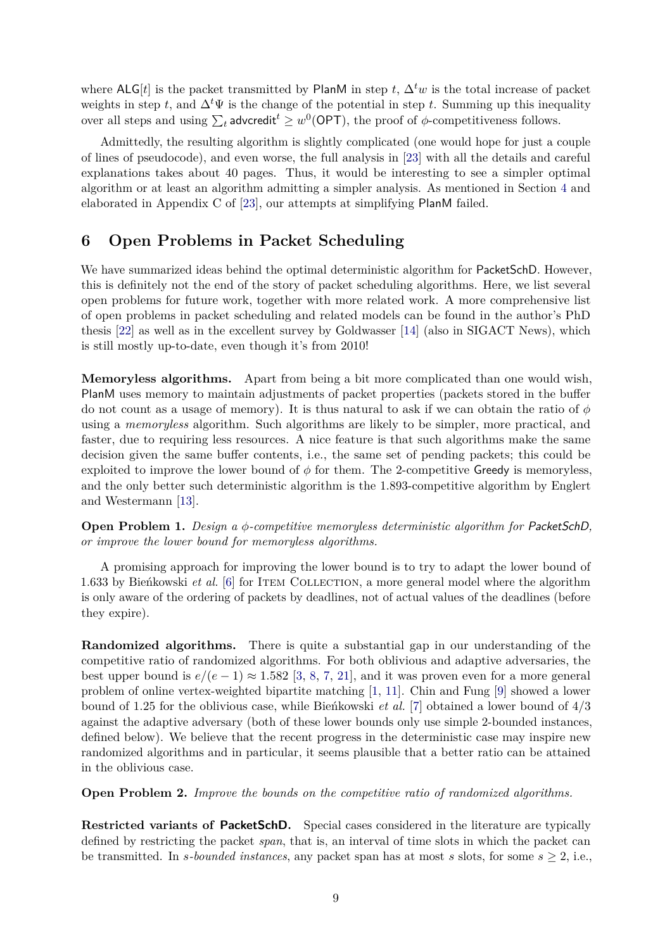where ALG[*t*] is the packet transmitted by PlanM in step *t*,  $\Delta^t w$  is the total increase of packet weights in step *t*, and  $\Delta^t\Psi$  is the change of the potential in step *t*. Summing up this inequality over all steps and using  $\sum_t$  advcredit<sup> $t$ </sup>  $\geq w^0(\mathsf{OPT})$ , the proof of  $\phi$ -competitiveness follows.

Admittedly, the resulting algorithm is slightly complicated (one would hope for just a couple of lines of pseudocode), and even worse, the full analysis in [\[23\]](#page-11-5) with all the details and careful explanations takes about 40 pages. Thus, it would be interesting to see a simpler optimal algorithm or at least an algorithm admitting a simpler analysis. As mentioned in Section [4](#page-3-0) and elaborated in Appendix C of [\[23\]](#page-11-5), our attempts at simplifying PlanM failed.

# <span id="page-8-0"></span>**6 Open Problems in Packet Scheduling**

We have summarized ideas behind the optimal deterministic algorithm for PacketSchD. However, this is definitely not the end of the story of packet scheduling algorithms. Here, we list several open problems for future work, together with more related work. A more comprehensive list of open problems in packet scheduling and related models can be found in the author's PhD thesis [\[22\]](#page-11-6) as well as in the excellent survey by Goldwasser [\[14\]](#page-11-7) (also in SIGACT News), which is still mostly up-to-date, even though it's from 2010!

**Memoryless algorithms.** Apart from being a bit more complicated than one would wish, PlanM uses memory to maintain adjustments of packet properties (packets stored in the buffer do not count as a usage of memory). It is thus natural to ask if we can obtain the ratio of *φ* using a *memoryless* algorithm. Such algorithms are likely to be simpler, more practical, and faster, due to requiring less resources. A nice feature is that such algorithms make the same decision given the same buffer contents, i.e., the same set of pending packets; this could be exploited to improve the lower bound of  $\phi$  for them. The 2-competitive Greedy is memoryless, and the only better such deterministic algorithm is the 1*.*893-competitive algorithm by Englert and Westermann [\[13\]](#page-10-3).

**Open Problem 1.** *Design a φ-competitive memoryless deterministic algorithm for* PacketSchD*, or improve the lower bound for memoryless algorithms.*

A promising approach for improving the lower bound is to try to adapt the lower bound of 1.633 by Bienkowski *et al.* [\[6\]](#page-10-4) for ITEM COLLECTION, a more general model where the algorithm is only aware of the ordering of packets by deadlines, not of actual values of the deadlines (before they expire).

**Randomized algorithms.** There is quite a substantial gap in our understanding of the competitive ratio of randomized algorithms. For both oblivious and adaptive adversaries, the best upper bound is  $e/(e-1) \approx 1.582$  [\[3,](#page-10-5) [8,](#page-10-6) [7,](#page-10-7) [21\]](#page-11-8), and it was proven even for a more general problem of online vertex-weighted bipartite matching [\[1,](#page-10-8) [11\]](#page-10-9). Chin and Fung [\[9\]](#page-10-1) showed a lower bound of 1.25 for the oblivious case, while Bienkowski *et al.* [\[7\]](#page-10-7) obtained a lower bound of  $4/3$ against the adaptive adversary (both of these lower bounds only use simple 2-bounded instances, defined below). We believe that the recent progress in the deterministic case may inspire new randomized algorithms and in particular, it seems plausible that a better ratio can be attained in the oblivious case.

**Open Problem 2.** *Improve the bounds on the competitive ratio of randomized algorithms.*

**Restricted variants of PacketSchD.** Special cases considered in the literature are typically defined by restricting the packet *span*, that is, an interval of time slots in which the packet can be transmitted. In *s*-bounded instances, any packet span has at most *s* slots, for some  $s \geq 2$ , i.e.,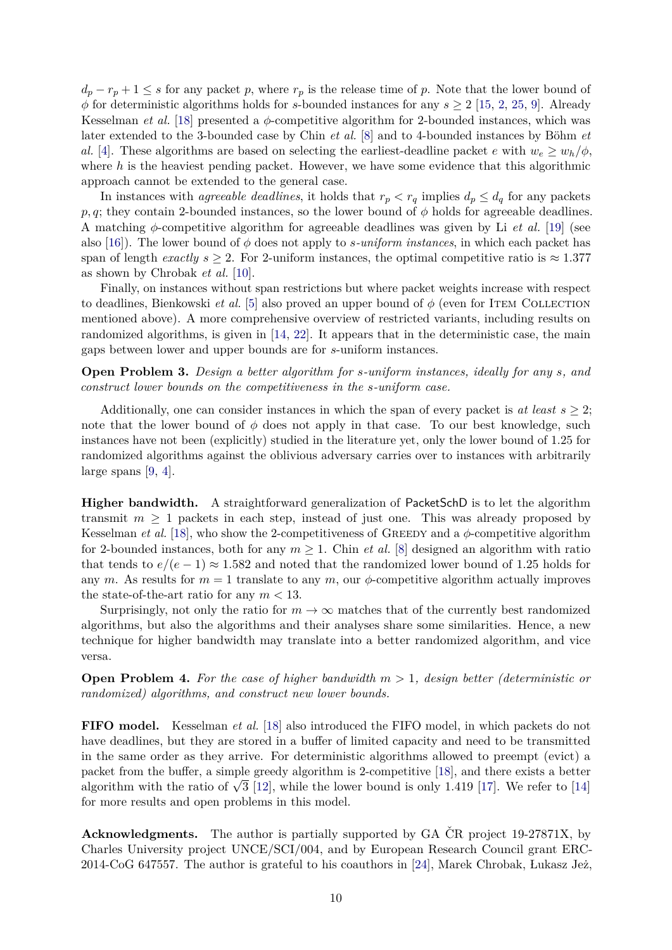$d_p - r_p + 1 \leq s$  for any packet *p*, where  $r_p$  is the release time of *p*. Note that the lower bound of  $\phi$  for deterministic algorithms holds for *s*-bounded instances for any  $s \geq 2$  [\[15,](#page-11-0) [2,](#page-10-0) [25,](#page-11-2) [9\]](#page-10-1). Already Kesselman *et al.* [\[18\]](#page-11-1) presented a *φ*-competitive algorithm for 2-bounded instances, which was later extended to the 3-bounded case by Chin *et al.* [\[8\]](#page-10-6) and to 4-bounded instances by Böhm *et al.* [\[4\]](#page-10-10). These algorithms are based on selecting the earliest-deadline packet *e* with  $w_e \geq w_h/\phi$ , where *h* is the heaviest pending packet. However, we have some evidence that this algorithmic approach cannot be extended to the general case.

In instances with *agreeable deadlines*, it holds that  $r_p < r_q$  implies  $d_p \leq d_q$  for any packets *p, q*; they contain 2-bounded instances, so the lower bound of *φ* holds for agreeable deadlines. A matching *φ*-competitive algorithm for agreeable deadlines was given by Li *et al.* [\[19\]](#page-11-9) (see also [\[16\]](#page-11-10)). The lower bound of *φ* does not apply to *s-uniform instances*, in which each packet has span of length *exactly*  $s \geq 2$ . For 2-uniform instances, the optimal competitive ratio is  $\approx 1.377$ as shown by Chrobak *et al.* [\[10\]](#page-10-2).

Finally, on instances without span restrictions but where packet weights increase with respect to deadlines, Bienkowski *et al.* [\[5\]](#page-10-11) also proved an upper bound of  $\phi$  (even for ITEM COLLECTION mentioned above). A more comprehensive overview of restricted variants, including results on randomized algorithms, is given in [\[14,](#page-11-7) [22\]](#page-11-6). It appears that in the deterministic case, the main gaps between lower and upper bounds are for *s*-uniform instances.

**Open Problem 3.** *Design a better algorithm for s-uniform instances, ideally for any s, and construct lower bounds on the competitiveness in the s-uniform case.*

Additionally, one can consider instances in which the span of every packet is  $at least s > 2$ ; note that the lower bound of  $\phi$  does not apply in that case. To our best knowledge, such instances have not been (explicitly) studied in the literature yet, only the lower bound of 1*.*25 for randomized algorithms against the oblivious adversary carries over to instances with arbitrarily large spans [\[9,](#page-10-1) [4\]](#page-10-10).

**Higher bandwidth.** A straightforward generalization of PacketSchD is to let the algorithm transmit  $m \geq 1$  packets in each step, instead of just one. This was already proposed by Kesselman *et al.* [\[18\]](#page-11-1), who show the 2-competitiveness of GREEDY and a  $\phi$ -competitive algorithm for 2-bounded instances, both for any  $m \geq 1$ . Chin *et al.* [\[8\]](#page-10-6) designed an algorithm with ratio that tends to  $e/(e-1) \approx 1.582$  and noted that the randomized lower bound of 1.25 holds for any *m*. As results for  $m = 1$  translate to any *m*, our  $\phi$ -competitive algorithm actually improves the state-of-the-art ratio for any  $m < 13$ .

Surprisingly, not only the ratio for  $m \to \infty$  matches that of the currently best randomized algorithms, but also the algorithms and their analyses share some similarities. Hence, a new technique for higher bandwidth may translate into a better randomized algorithm, and vice versa.

**Open Problem 4.** *For the case of higher bandwidth m >* 1*, design better (deterministic or randomized) algorithms, and construct new lower bounds.*

**FIFO model.** Kesselman *et al.* [\[18\]](#page-11-1) also introduced the FIFO model, in which packets do not have deadlines, but they are stored in a buffer of limited capacity and need to be transmitted in the same order as they arrive. For deterministic algorithms allowed to preempt (evict) a packet from the buffer, a simple greedy algorithm is 2-competitive [\[18\]](#page-11-1), and there exists a better packet from the buner, a simple greedy algorithm is z-competitive [18], and there exists a better algorithm with the ratio of  $\sqrt{3}$  [\[12\]](#page-10-12), while the lower bound is only 1.419 [\[17\]](#page-11-11). We refer to [\[14\]](#page-11-7) for more results and open problems in this model.

**Acknowledgments.** The author is partially supported by GA ČR project 19-27871X, by Charles University project UNCE/SCI/004, and by European Research Council grant ERC- $2014\text{-CoG } 647557$ . The author is grateful to his coauthors in [\[24\]](#page-11-4), Marek Chrobak, Lukasz Jeż,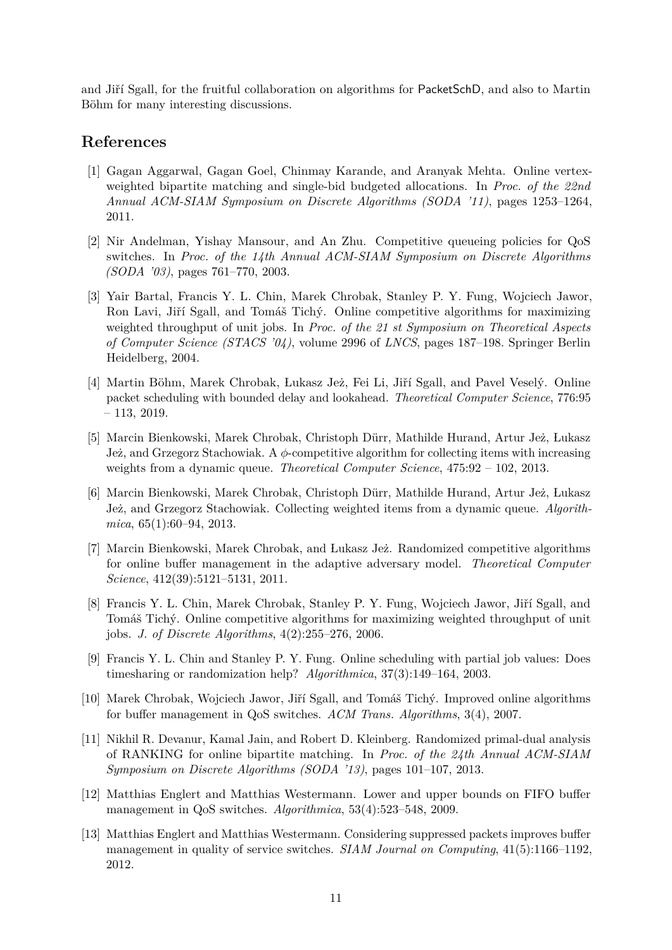and Jiří Sgall, for the fruitful collaboration on algorithms for PacketSchD, and also to Martin Böhm for many interesting discussions.

## **References**

- <span id="page-10-8"></span>[1] Gagan Aggarwal, Gagan Goel, Chinmay Karande, and Aranyak Mehta. Online vertexweighted bipartite matching and single-bid budgeted allocations. In *Proc. of the 22nd Annual ACM-SIAM Symposium on Discrete Algorithms (SODA '11)*, pages 1253–1264, 2011.
- <span id="page-10-0"></span>[2] Nir Andelman, Yishay Mansour, and An Zhu. Competitive queueing policies for QoS switches. In *Proc. of the 14th Annual ACM-SIAM Symposium on Discrete Algorithms (SODA '03)*, pages 761–770, 2003.
- <span id="page-10-5"></span>[3] Yair Bartal, Francis Y. L. Chin, Marek Chrobak, Stanley P. Y. Fung, Wojciech Jawor, Ron Lavi, Jiří Sgall, and Tomáš Tichý. Online competitive algorithms for maximizing weighted throughput of unit jobs. In *Proc. of the 21 st Symposium on Theoretical Aspects of Computer Science (STACS '04)*, volume 2996 of *LNCS*, pages 187–198. Springer Berlin Heidelberg, 2004.
- <span id="page-10-10"></span>[4] Martin Böhm, Marek Chrobak, Lukasz Jeż, Fei Li, Jiří Sgall, and Pavel Veselý. Online packet scheduling with bounded delay and lookahead. *Theoretical Computer Science*, 776:95 – 113, 2019.
- <span id="page-10-11"></span>[5] Marcin Bienkowski, Marek Chrobak, Christoph Dürr, Mathilde Hurand, Artur Jeż, Łukasz Je˙z, and Grzegorz Stachowiak. A *φ*-competitive algorithm for collecting items with increasing weights from a dynamic queue. *Theoretical Computer Science*, 475:92 – 102, 2013.
- <span id="page-10-4"></span>[6] Marcin Bienkowski, Marek Chrobak, Christoph Dürr, Mathilde Hurand, Artur Jeż, Łukasz Jeż, and Grzegorz Stachowiak. Collecting weighted items from a dynamic queue. *Algorithmica*, 65(1):60–94, 2013.
- <span id="page-10-7"></span>[7] Marcin Bienkowski, Marek Chrobak, and Lukasz Jeż. Randomized competitive algorithms for online buffer management in the adaptive adversary model. *Theoretical Computer Science*, 412(39):5121–5131, 2011.
- <span id="page-10-6"></span>[8] Francis Y. L. Chin, Marek Chrobak, Stanley P. Y. Fung, Wojciech Jawor, Jiří Sgall, and Tomáš Tichý. Online competitive algorithms for maximizing weighted throughput of unit jobs. *J. of Discrete Algorithms*, 4(2):255–276, 2006.
- <span id="page-10-1"></span>[9] Francis Y. L. Chin and Stanley P. Y. Fung. Online scheduling with partial job values: Does timesharing or randomization help? *Algorithmica*, 37(3):149–164, 2003.
- <span id="page-10-2"></span>[10] Marek Chrobak, Wojciech Jawor, Jiří Sgall, and Tomáš Tichý. Improved online algorithms for buffer management in QoS switches. *ACM Trans. Algorithms*, 3(4), 2007.
- <span id="page-10-9"></span>[11] Nikhil R. Devanur, Kamal Jain, and Robert D. Kleinberg. Randomized primal-dual analysis of RANKING for online bipartite matching. In *Proc. of the 24th Annual ACM-SIAM Symposium on Discrete Algorithms (SODA '13)*, pages 101–107, 2013.
- <span id="page-10-12"></span>[12] Matthias Englert and Matthias Westermann. Lower and upper bounds on FIFO buffer management in QoS switches. *Algorithmica*, 53(4):523–548, 2009.
- <span id="page-10-3"></span>[13] Matthias Englert and Matthias Westermann. Considering suppressed packets improves buffer management in quality of service switches. *SIAM Journal on Computing*, 41(5):1166–1192, 2012.